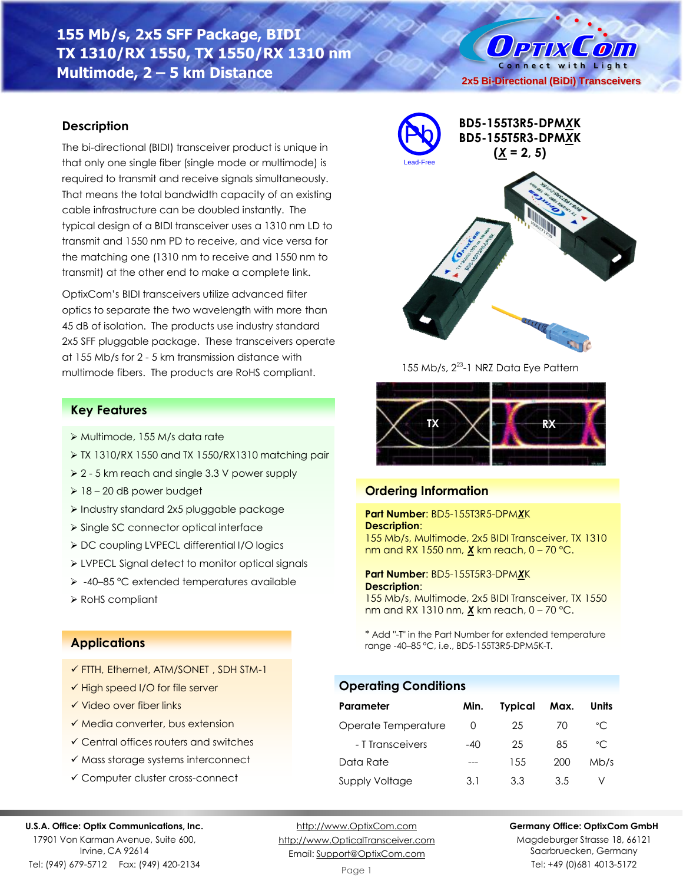# **155 Mb/s, 2x5 SFF Package, BIDI TX 1310/RX 1550, TX 1550/RX 1310 nm Multimode, 2 – 5 km Distance**

#### **Description**

The bi-directional (BIDI) transceiver product is unique in that only one single fiber (single mode or multimode) is required to transmit and receive signals simultaneously. That means the total bandwidth capacity of an existing cable infrastructure can be doubled instantly. The typical design of a BIDI transceiver uses a 1310 nm LD to transmit and 1550 nm PD to receive, and vice versa for the matching one (1310 nm to receive and 1550 nm to transmit) at the other end to make a complete link.

OptixCom's BIDI transceivers utilize advanced filter optics to separate the two wavelength with more than 45 dB of isolation. The products use industry standard 2x5 SFF pluggable package. These transceivers operate at 155 Mb/s for 2 - 5 km transmission distance with multimode fibers. The products are RoHS compliant.

#### **Key Features**

- ➢ Multimode, 155 M/s data rate
- ➢ TX 1310/RX 1550 and TX 1550/RX1310 matching pair
- ➢ 2 5 km reach and single 3.3 V power supply
- ➢ 18 20 dB power budget
- ➢ Industry standard 2x5 pluggable package
- ➢ Single SC connector optical interface
- ➢ DC coupling LVPECL differential I/O logics
- ➢ LVPECL Signal detect to monitor optical signals
- ➢ -40–85 °C extended temperatures available
- ➢ RoHS compliant

#### **Applications**

- ✓ FTTH, Ethernet, ATM/SONET , SDH STM-1
- ✓ High speed I/O for file server
- ✓ Video over fiber links
- ✓ Media converter, bus extension
- ✓ Central offices routers and switches
- ✓ Mass storage systems interconnect
- ✓ Computer cluster cross-connect

#### **U.S.A. Office: Optix Communications, Inc.**

17901 Von Karman Avenue, Suite 600, Irvine, CA 92614 Tel: (949) 679-5712 Fax: (949) 420-2134

[http://www.OptixCom.com](http://www.optixcom.com/) [http://www.OpticalTransceiver.com](http://www.optoictech.com/) Email: [Support@OptixCom.com](mailto:Support@optoICtech.com)

Page 1

#### **Germany Office: OptixCom GmbH**

Magdeburger Strasse 18, 66121 Saarbruecken, Germany Tel: +49 (0)681 4013-5172







155 Mb/s, 2<sup>23</sup>-1 NRZ Data Eye Pattern



## **Ordering Information**

#### **Part Number**: BD5-155T3R5-DPM*X*K **Description**:

155 Mb/s, Multimode, 2x5 BIDI Transceiver, TX 1310 nm and RX 1550 nm, *X* km reach, 0 – 70 °C.

**Part Number**: BD5-155T5R3-DPM*X*K **Description**:

155 Mb/s, Multimode, 2x5 BIDI Transceiver, TX 1550 nm and RX 1310 nm, *X* km reach, 0 – 70 °C.

\* Add "-T" in the Part Number for extended temperature range -40–85 °C, i.e., BD5-155T3R5-DPM5K-T.

## **Operating Conditions**

| Parameter             | Min.  | <b>Typical</b> | Max. | Units        |
|-----------------------|-------|----------------|------|--------------|
| Operate Temperature   | 0     | 25             | 70   | °C           |
| - T Transceivers      | $-40$ | 25             | 85   | $^{\circ}$ C |
| Data Rate             |       | 155            | 200  | Mb/s         |
| <b>Supply Voltage</b> | 3.1   | 33             | 35   |              |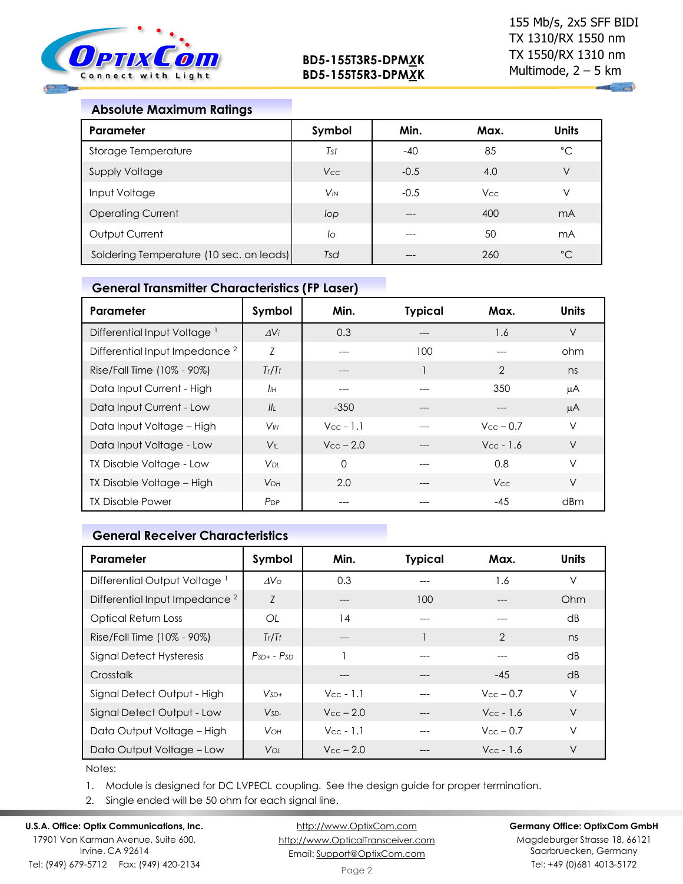

### **Absolute Maximum Ratings**

| Parameter                                | Symbol                | Min.   | Max.       | <b>Units</b> |
|------------------------------------------|-----------------------|--------|------------|--------------|
| Storage Temperature                      | Tst                   | $-40$  | 85         | $^{\circ}$ C |
| <b>Supply Voltage</b>                    | <b>Vcc</b>            | $-0.5$ | 4.0        | V            |
| Input Voltage                            | <b>V<sub>IN</sub></b> | $-0.5$ | <b>Vcc</b> | ν            |
| <b>Operating Current</b>                 | lop                   | $---$  | 400        | mA           |
| Output Current                           | lo                    |        | 50         | mA           |
| Soldering Temperature (10 sec. on leads) | Tsd                   |        | 260        | $^{\circ}C$  |

## **General Transmitter Characteristics (FP Laser)**

| Parameter                                 | Symbol                | Min.                  | <b>Typical</b> | Max.                  | <b>Units</b> |
|-------------------------------------------|-----------------------|-----------------------|----------------|-----------------------|--------------|
| Differential Input Voltage <sup>1</sup>   | AV <sub>i</sub>       | 0.3                   | ---            | 1.6                   | $\vee$       |
| Differential Input Impedance <sup>2</sup> | Z                     |                       | 100            |                       | ohm          |
| Rise/Fall Time (10% - 90%)                | Tr/Tr                 | ---                   |                | $\overline{2}$        | ns           |
| Data Input Current - High                 | IІн                   |                       |                | 350                   | μA           |
| Data Input Current - Low                  | II <sub>I</sub>       | $-350$                |                |                       | μA           |
| Data Input Voltage - High                 | V <sub>IH</sub>       | $Vec - 1.1$           |                | $V_{\rm CC}$ – 0.7    | $\vee$       |
| Data Input Voltage - Low                  | $V_{\parallel}$       | $V_{\text{cc}} - 2.0$ |                | $V_{\text{CC}}$ - 1.6 | $\vee$       |
| TX Disable Voltage - Low                  | VDL.                  | $\Omega$              |                | 0.8                   | $\vee$       |
| TX Disable Voltage - High                 | <b>V<sub>DH</sub></b> | 2.0                   |                | <b>Vcc</b>            | $\vee$       |
| <b>TX Disable Power</b>                   | P <sub>DP</sub>       |                       |                | -45                   | dBm          |

## **General Receiver Characteristics**

| Parameter                                 | Symbol          | Min.                  | <b>Typical</b> | Max.                  | <b>Units</b>    |
|-------------------------------------------|-----------------|-----------------------|----------------|-----------------------|-----------------|
| Differential Output Voltage <sup>1</sup>  | AV <sub>o</sub> | 0.3                   |                | 1.6                   | $\vee$          |
| Differential Input Impedance <sup>2</sup> | $\overline{7}$  | ---                   | 100            |                       | Ohm             |
| <b>Optical Return Loss</b>                | OL              | 14                    | ---            | $---$                 | $\overline{AB}$ |
| Rise/Fall Time (10% - 90%)                | Tr/Tr           | ---                   |                | $\mathcal{P}$         | ns              |
| Signal Detect Hysteresis                  | $PsD + - PSD$   |                       |                |                       | dB              |
| Crosstalk                                 |                 | ---                   |                | $-45$                 | dB              |
| Signal Detect Output - High               | $V_{SD+}$       | $V_{\text{cc}}$ - 1.1 | ---            | $V_{\rm CC}$ – 0.7    | V               |
| Signal Detect Output - Low                | $V_{SD-}$       | $V_{\text{cc}} - 2.0$ |                | $V_{\text{CC}}$ - 1.6 | V               |
| Data Output Voltage - High                | <b>V</b> он     | $V_{CC} - 1.1$        | ---            | $V_{\rm CC}$ – 0.7    | V               |
| Data Output Voltage - Low                 | Voi:            | $V_{\rm CC}$ – 2.0    |                | $V_{CC}$ - 1.6        | V               |

Notes:

1. Module is designed for DC LVPECL coupling. See the design guide for proper termination.

2. Single ended will be 50 ohm for each signal line.

#### **U.S.A. Office: Optix Communications, Inc.**

17901 Von Karman Avenue, Suite 600, Irvine, CA 92614 Tel: (949) 679-5712 Fax: (949) 420-2134

[http://www.OptixCom.com](http://www.optixcom.com/) [http://www.OpticalTransceiver.com](http://www.optoictech.com/) Email: [Support@OptixCom.com](mailto:Support@optoICtech.com)

#### **Germany Office: OptixCom GmbH**

Magdeburger Strasse 18, 66121 Saarbruecken, Germany Tel: +49 (0)681 4013-5172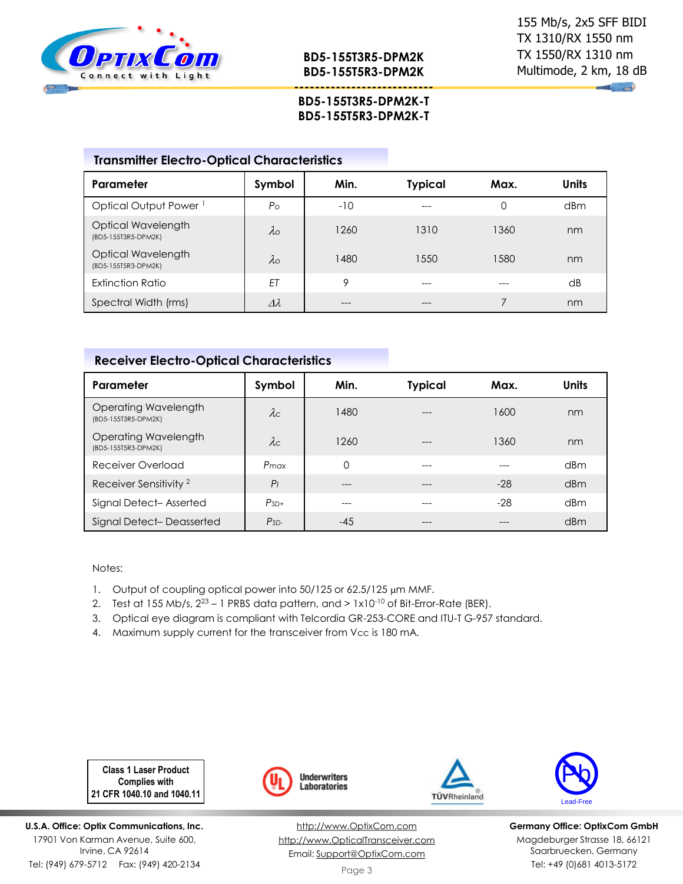

 $\mathbf{u}$  and

### **--------------------------- BD5-155T3R5-DPM2K-T BD5-155T5R3-DPM2K-T**

## **Transmitter Electro-Optical Characteristics**

| Parameter                                 | Symbol             | Min.    | <b>Typical</b> | Max. | <b>Units</b>    |
|-------------------------------------------|--------------------|---------|----------------|------|-----------------|
| Optical Output Power <sup>1</sup>         | P <sub>O</sub>     | $-10$   | ---            | 0    | d <sub>Bm</sub> |
| Optical Wavelength<br>(BD5-155T3R5-DPM2K) | $\lambda$ o        | 1260    | 1310           | 1360 | nm              |
| Optical Wavelength<br>(BD5-155T5R3-DPM2K) | $\lambda_{\rm O}$  | 1480    | 1550           | 580  | nm              |
| Extinction Ratio                          | ET                 | $\circ$ | ---            |      | dB              |
| Spectral Width (rms)                      | $\varDelta\lambda$ | ---     |                |      | nm              |

#### **Receiver Electro-Optical Characteristics**

| Parameter                                   | Symbol         | Min.     | <b>Typical</b> | Max.  | <b>Units</b>    |
|---------------------------------------------|----------------|----------|----------------|-------|-----------------|
| Operating Wavelength<br>(BD5-155T3R5-DPM2K) | $\lambda c$    | 1480     | $---$          | 1600  | nm              |
| Operating Wavelength<br>(BD5-155T5R3-DPM2K) | $\lambda c$    | 1260     | $- - -$        | 1360  | nm              |
| Receiver Overload                           | $P_{max}$      | $\Omega$ | $---$          |       | d <sub>Bm</sub> |
| Receiver Sensitivity <sup>2</sup>           | P <sub>1</sub> | ---      | $- - -$        | $-28$ | dBm             |
| Signal Detect-Asserted                      | $PsD+$         | ---      |                | $-28$ | dBm             |
| Signal Detect-Deasserted                    | $PsD-$         | -45      |                |       | dBm             |

Notes:

- 1. Output of coupling optical power into 50/125 or 62.5/125 µm MMF.
- 2. Test at 155 Mb/s,  $2^{23} 1$  PRBS data pattern, and  $> 1 \times 10^{-10}$  of Bit-Error-Rate (BER).
- 3. Optical eye diagram is compliant with Telcordia GR-253-CORE and ITU-T G-957 standard.
- 4. Maximum supply current for the transceiver from Vcc is 180 mA.

**Class 1 Laser Product Complies with 21 CFR 1040.10 and 1040.11**

**U.S.A. Office: Optix Communications, Inc.** 17901 Von Karman Avenue, Suite 600, Irvine, CA 92614 Tel: (949) 679-5712 Fax: (949) 420-2134



[http://www.OptixCom.com](http://www.optixcom.com/) [http://www.OpticalTransceiver.com](http://www.optoictech.com/) Email: [Support@OptixCom.com](mailto:Support@optoICtech.com)





**Germany Office: OptixCom GmbH** Magdeburger Strasse 18, 66121 Saarbruecken, Germany Tel: +49 (0)681 4013-5172